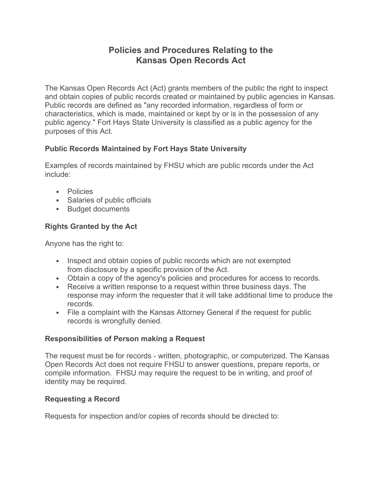# **Policies and Procedures Relating to the Kansas Open Records Act**

The Kansas Open Records Act (Act) grants members of the public the right to inspect and obtain copies of public records created or maintained by public agencies in Kansas. Public records are defined as "any recorded information, regardless of form or characteristics, which is made, maintained or kept by or is in the possession of any public agency." Fort Hays State University is classified as a public agency for the purposes of this Act.

## **Public Records Maintained by Fort Hays State University**

Examples of records maintained by FHSU which are public records under the Act include:

- Policies
- Salaries of public officials
- Budget documents

## **Rights Granted by the Act**

Anyone has the right to:

- Inspect and obtain copies of public records which are not exempted from disclosure by a specific provision of the Act.
- Obtain a copy of the agency's policies and procedures for access to records.
- Receive a written response to a request within three business days. The response may inform the requester that it will take additional time to produce the records.
- File a complaint with the Kansas Attorney General if the request for public records is wrongfully denied.

## **Responsibilities of Person making a Request**

The request must be for records - written, photographic, or computerized. The Kansas Open Records Act does not require FHSU to answer questions, prepare reports, or compile information. FHSU may require the request to be in writing, and proof of identity may be required.

## **Requesting a Record**

Requests for inspection and/or copies of records should be directed to: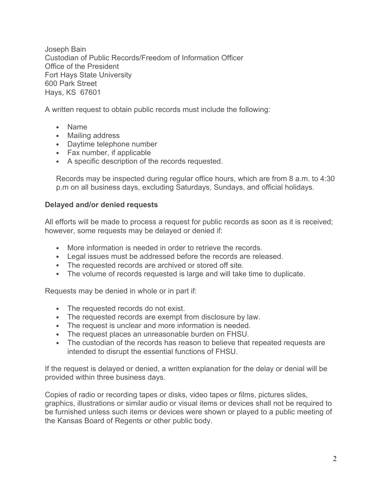Joseph Bain Custodian of Public Records/Freedom of Information Officer Office of the President Fort Hays State University 600 Park Street Hays, KS 67601

A written request to obtain public records must include the following:

- Name
- Mailing address
- Daytime telephone number
- Fax number, if applicable
- A specific description of the records requested.

Records may be inspected during regular office hours, which are from 8 a.m. to 4:30 p.m on all business days, excluding Saturdays, Sundays, and official holidays.

#### **Delayed and/or denied requests**

All efforts will be made to process a request for public records as soon as it is received; however, some requests may be delayed or denied if:

- More information is needed in order to retrieve the records.
- Legal issues must be addressed before the records are released.
- The requested records are archived or stored off site.
- The volume of records requested is large and will take time to duplicate.

Requests may be denied in whole or in part if:

- The requested records do not exist.
- The requested records are exempt from disclosure by law.
- The request is unclear and more information is needed.
- The request places an unreasonable burden on FHSU.
- The custodian of the records has reason to believe that repeated requests are intended to disrupt the essential functions of FHSU.

If the request is delayed or denied, a written explanation for the delay or denial will be provided within three business days.

Copies of radio or recording tapes or disks, video tapes or films, pictures slides, graphics, illustrations or similar audio or visual items or devices shall not be required to be furnished unless such items or devices were shown or played to a public meeting of the Kansas Board of Regents or other public body.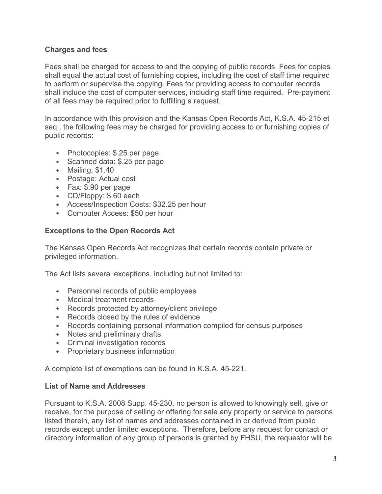#### **Charges and fees**

Fees shall be charged for access to and the copying of public records. Fees for copies shall equal the actual cost of furnishing copies, including the cost of staff time required to perform or supervise the copying. Fees for providing access to computer records shall include the cost of computer services, including staff time required. Pre-payment of all fees may be required prior to fulfilling a request.

In accordance with this provision and the Kansas Open Records Act, K.S.A. 45-215 et seq., the following fees may be charged for providing access to or furnishing copies of public records:

- Photocopies: \$.25 per page
- Scanned data: \$.25 per page
- Mailing: \$1.40
- Postage: Actual cost
- Fax: \$.90 per page
- CD/Floppy: \$.60 each
- Access/Inspection Costs: \$32.25 per hour
- Computer Access: \$50 per hour

#### **Exceptions to the Open Records Act**

The Kansas Open Records Act recognizes that certain records contain private or privileged information.

The Act lists several exceptions, including but not limited to:

- Personnel records of public employees
- Medical treatment records
- Records protected by attorney/client privilege
- Records closed by the rules of evidence
- Records containing personal information compiled for census purposes
- Notes and preliminary drafts
- Criminal investigation records
- Proprietary business information

A complete list of exemptions can be found in K.S.A. 45-221.

#### **List of Name and Addresses**

Pursuant to K.S.A. 2008 Supp. 45-230, no person is allowed to knowingly sell, give or receive, for the purpose of selling or offering for sale any property or service to persons listed therein, any list of names and addresses contained in or derived from public records except under limited exceptions. Therefore, before any request for contact or directory information of any group of persons is granted by FHSU, the requestor will be